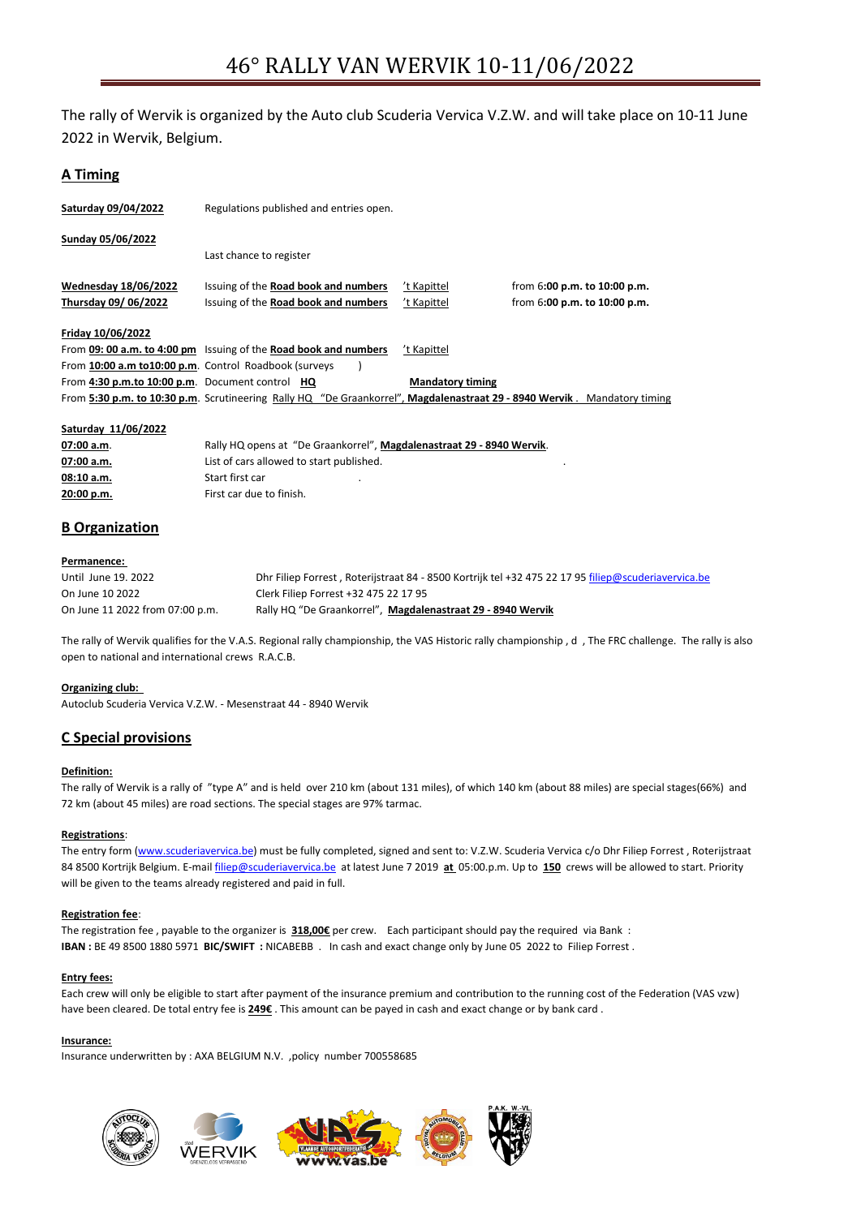The rally of Wervik is organized by the Auto club Scuderia Vervica V.Z.W. and will take place on 10-11 June 2022 in Wervik, Belgium.

# **A Timing**

| Saturday 09/04/2022                                   | Regulations published and entries open.                                                                                  |                         |                                  |
|-------------------------------------------------------|--------------------------------------------------------------------------------------------------------------------------|-------------------------|----------------------------------|
| Sunday 05/06/2022                                     |                                                                                                                          |                         |                                  |
|                                                       | Last chance to register                                                                                                  |                         |                                  |
| <b>Wednesday 18/06/2022</b>                           | Issuing of the Road book and numbers                                                                                     | 't Kapittel             | from $6:00$ p.m. to $10:00$ p.m. |
| Thursday 09/06/2022                                   | Issuing of the Road book and numbers                                                                                     | 't Kapittel             | from $6:00$ p.m. to $10:00$ p.m. |
| Friday 10/06/2022                                     |                                                                                                                          |                         |                                  |
|                                                       | From 09: 00 a.m. to 4:00 pm Issuing of the Road book and numbers                                                         | 't Kapittel             |                                  |
| From 10:00 a.m to10:00 p.m. Control Roadbook (surveys |                                                                                                                          |                         |                                  |
| From 4:30 p.m.to 10:00 p.m. Document control HQ       |                                                                                                                          | <b>Mandatory timing</b> |                                  |
|                                                       | From 5:30 p.m. to 10:30 p.m. Scrutineering Rally HQ "De Graankorrel", Magdalenastraat 29 - 8940 Wervik. Mandatory timing |                         |                                  |
|                                                       |                                                                                                                          |                         |                                  |

## **Saturday 11/06/2022**

| 07:00 a.m. | Rally HQ opens at "De Graankorrel", Magdalenastraat 29 - 8940 Wervik. |
|------------|-----------------------------------------------------------------------|
| 07:00 a.m. | List of cars allowed to start published.                              |
| 08:10 a.m. | Start first car                                                       |
| 20:00 p.m. | First car due to finish.                                              |

# **B Organization**

## **Permanence:**

| Until June 19, 2022             | Dhr Filiep Forrest, Roterijstraat 84 - 8500 Kortrijk tel +32 475 22 17 95 filiep@scuderiavervica.be |
|---------------------------------|-----------------------------------------------------------------------------------------------------|
| On June 10 2022                 | Clerk Filiep Forrest +32 475 22 17 95                                                               |
| On June 11 2022 from 07:00 p.m. | Rally HQ "De Graankorrel", Magdalenastraat 29 - 8940 Wervik                                         |

The rally of Wervik qualifies for the V.A.S. Regional rally championship, the VAS Historic rally championship , d , The FRC challenge. The rally is also open to national and international crews R.A.C.B.

## **Organizing club:**

Autoclub Scuderia Vervica V.Z.W. - Mesenstraat 44 - 8940 Wervik

# **C Special provisions**

## **Definition:**

The rally of Wervik is a rally of "type A" and is held over 210 km (about 131 miles), of which 140 km (about 88 miles) are special stages(66%) and 72 km (about 45 miles) are road sections. The special stages are 97% tarmac.

## **Registrations**:

The entry form [\(www.scuderiavervica.be\)](http://www.scuderiavervica.be/) must be fully completed, signed and sent to: V.Z.W. Scuderia Vervica c/o Dhr Filiep Forrest, Roterijstraat 84 8500 Kortrijk Belgium. E-mai[l filiep@scuderiavervica.be](mailto:filiep@scuderiavervica.be) at latest June 7 2019 **at** 05:00.p.m. Up to **150** crews will be allowed to start. Priority will be given to the teams already registered and paid in full.

#### **Registration fee**:

The registration fee , payable to the organizer is **318,00€** per crew. Each participant should pay the required via Bank : **IBAN :** BE 49 8500 1880 5971 **BIC/SWIFT :** NICABEBB . In cash and exact change only by June 05 2022 to Filiep Forrest .

## **Entry fees:**

Each crew will only be eligible to start after payment of the insurance premium and contribution to the running cost of the Federation (VAS vzw) have been cleared. De total entry fee is **249€** . This amount can be payed in cash and exact change or by bank card .

#### **Insurance:**

Insurance underwritten by : AXA BELGIUM N.V. ,policy number 700558685